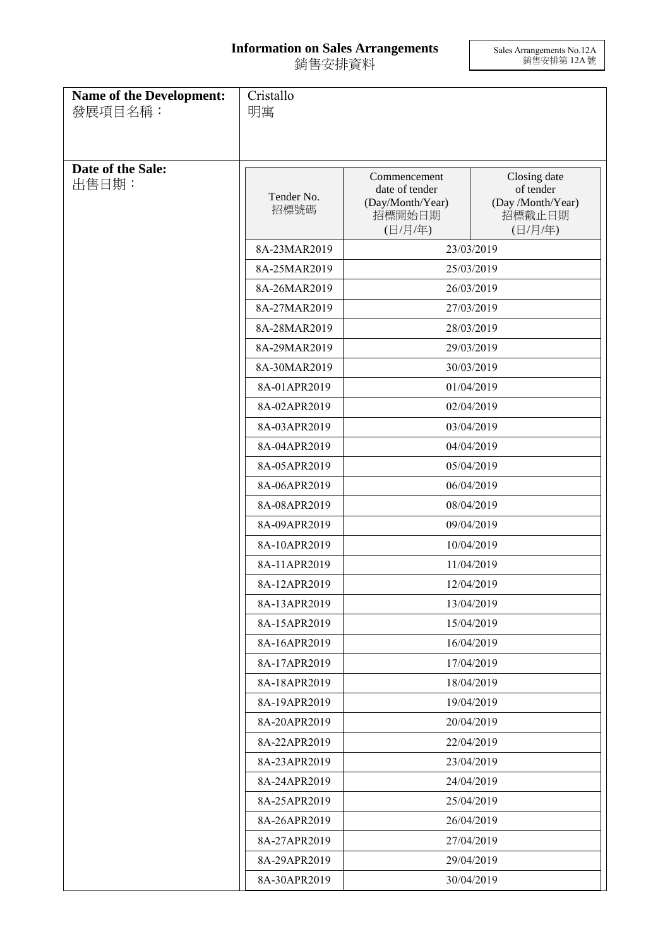## **Information on Sales Arrangements** 銷售安排資料

Sales Arrangements No.12A 銷售安排第 12A 號

| Name of the Development:<br>發展項目名稱: | Cristallo<br>明寓    |                                                                         |                                                                     |
|-------------------------------------|--------------------|-------------------------------------------------------------------------|---------------------------------------------------------------------|
| Date of the Sale:<br>出售日期:          | Tender No.<br>招標號碼 | Commencement<br>date of tender<br>(Day/Month/Year)<br>招標開始日期<br>(日/月/年) | Closing date<br>of tender<br>(Day /Month/Year)<br>招標截止日期<br>(日/月/年) |
|                                     | 8A-23MAR2019       |                                                                         | 23/03/2019                                                          |
|                                     | 8A-25MAR2019       | 25/03/2019                                                              |                                                                     |
|                                     | 8A-26MAR2019       | 26/03/2019                                                              |                                                                     |
|                                     | 8A-27MAR2019       |                                                                         | 27/03/2019                                                          |
|                                     | 8A-28MAR2019       |                                                                         | 28/03/2019                                                          |
|                                     | 8A-29MAR2019       |                                                                         | 29/03/2019                                                          |
|                                     | 8A-30MAR2019       |                                                                         | 30/03/2019                                                          |
|                                     | 8A-01APR2019       | 01/04/2019                                                              |                                                                     |
|                                     | 8A-02APR2019       | 02/04/2019                                                              |                                                                     |
|                                     | 8A-03APR2019       | 03/04/2019                                                              |                                                                     |
|                                     | 8A-04APR2019       | 04/04/2019                                                              |                                                                     |
|                                     | 8A-05APR2019       | 05/04/2019                                                              |                                                                     |
|                                     | 8A-06APR2019       | 06/04/2019                                                              |                                                                     |
|                                     | 8A-08APR2019       | 08/04/2019                                                              |                                                                     |
|                                     | 8A-09APR2019       | 09/04/2019                                                              |                                                                     |
|                                     | 8A-10APR2019       | 10/04/2019                                                              |                                                                     |
|                                     | 8A-11APR2019       | 11/04/2019                                                              |                                                                     |
|                                     | 8A-12APR2019       | 12/04/2019                                                              |                                                                     |
|                                     | 8A-13APR2019       | 13/04/2019                                                              |                                                                     |
|                                     | 8A-15APR2019       |                                                                         | 15/04/2019                                                          |
|                                     | 8A-16APR2019       |                                                                         | 16/04/2019                                                          |
|                                     | 8A-17APR2019       | 17/04/2019                                                              |                                                                     |
|                                     | 8A-18APR2019       | 18/04/2019                                                              |                                                                     |
|                                     | 8A-19APR2019       | 19/04/2019                                                              |                                                                     |
|                                     | 8A-20APR2019       | 20/04/2019                                                              |                                                                     |
|                                     | 8A-22APR2019       | 22/04/2019                                                              |                                                                     |
|                                     | 8A-23APR2019       | 23/04/2019                                                              |                                                                     |
|                                     | 8A-24APR2019       | 24/04/2019                                                              |                                                                     |
|                                     | 8A-25APR2019       | 25/04/2019                                                              |                                                                     |
|                                     | 8A-26APR2019       | 26/04/2019                                                              |                                                                     |
|                                     | 8A-27APR2019       |                                                                         | 27/04/2019                                                          |
|                                     | 8A-29APR2019       |                                                                         | 29/04/2019                                                          |
|                                     | 8A-30APR2019       | 30/04/2019                                                              |                                                                     |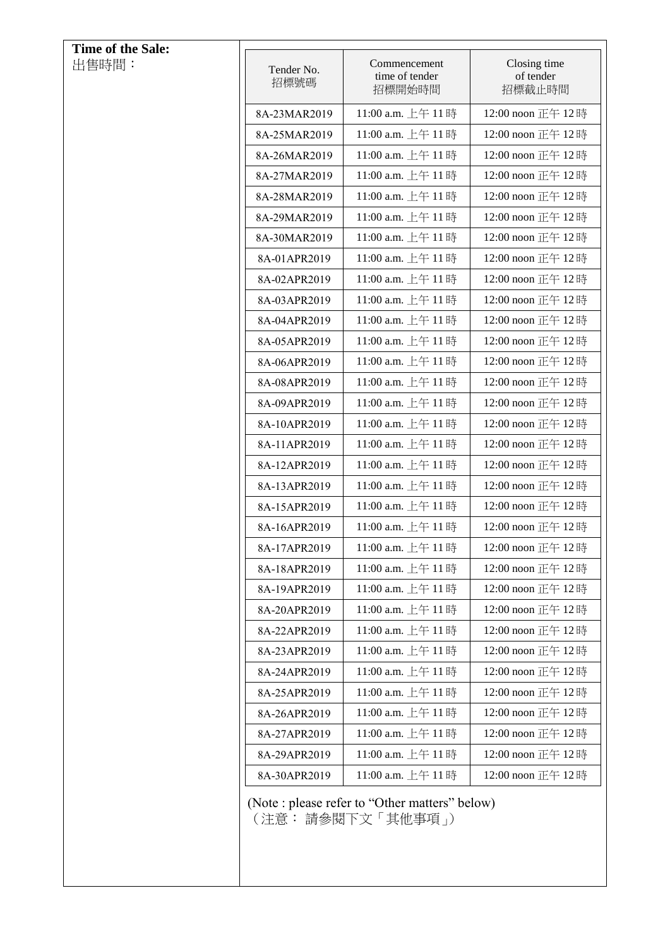| <b>Time of the Sale:</b> |                    |                                                                      |                                     |
|--------------------------|--------------------|----------------------------------------------------------------------|-------------------------------------|
| 出售時間:                    | Tender No.<br>招標號碼 | Commencement<br>time of tender<br>招標開始時間                             | Closing time<br>of tender<br>招標截止時間 |
|                          | 8A-23MAR2019       | 11:00 a.m. 上午 11時                                                    | 12:00 noon 正午 12時                   |
|                          | 8A-25MAR2019       | 11:00 a.m. 上午 11時                                                    | 12:00 noon 正午 12時                   |
|                          | 8A-26MAR2019       | 11:00 a.m. 上午 11時                                                    | 12:00 noon 正午 12時                   |
|                          | 8A-27MAR2019       | 11:00 a.m. 上午 11時                                                    | 12:00 noon 正午 12時                   |
|                          | 8A-28MAR2019       | 11:00 a.m. 上午 11時                                                    | 12:00 noon 正午 12時                   |
|                          | 8A-29MAR2019       | 11:00 a.m. 上午 11時                                                    | 12:00 noon 正午 12時                   |
|                          | 8A-30MAR2019       | 11:00 a.m. 上午 11時                                                    | 12:00 noon 正午 12時                   |
|                          | 8A-01APR2019       | 11:00 a.m. 上午11時                                                     | 12:00 noon 正午 12時                   |
|                          | 8A-02APR2019       | 11:00 a.m. 上午 11時                                                    | 12:00 noon 正午 12時                   |
|                          | 8A-03APR2019       | 11:00 a.m. 上午 11時                                                    | 12:00 noon 正午 12時                   |
|                          | 8A-04APR2019       | 11:00 a.m. 上午 11時                                                    | 12:00 noon 正午 12時                   |
|                          | 8A-05APR2019       | 11:00 a.m. 上午 11時                                                    | 12:00 noon 正午 12時                   |
|                          | 8A-06APR2019       | 11:00 a.m. 上午 11時                                                    | 12:00 noon 正午 12時                   |
|                          | 8A-08APR2019       | 11:00 a.m. 上午 11時                                                    | 12:00 noon 正午 12時                   |
|                          | 8A-09APR2019       | 11:00 a.m. 上午 11時                                                    | 12:00 noon 正午 12時                   |
|                          | 8A-10APR2019       | 11:00 a.m. 上午 11時                                                    | 12:00 noon 正午 12時                   |
|                          | 8A-11APR2019       | 11:00 a.m. 上午 11時                                                    | 12:00 noon 正午 12時                   |
|                          | 8A-12APR2019       | 11:00 a.m. 上午 11時                                                    | 12:00 noon 正午 12時                   |
|                          | 8A-13APR2019       | 11:00 a.m. 上午 11時                                                    | 12:00 noon 正午 12時                   |
|                          | 8A-15APR2019       | 11:00 a.m. 上午 11時                                                    | 12:00 noon 正午 12時                   |
|                          | 8A-16APR2019       | 11:00 a.m. 上午 11時                                                    | 12:00 noon 正午 12時                   |
|                          | 8A-17APR2019       | 11:00 a.m. 上午 11時                                                    | 12:00 noon 正午 12時                   |
|                          | 8A-18APR2019       | 11:00 a.m. 上午 11時                                                    | 12:00 noon 正午 12時                   |
|                          | 8A-19APR2019       | 11:00 a.m. 上午 11時                                                    | 12:00 noon 正午 12時                   |
|                          | 8A-20APR2019       | 11:00 a.m. 上午 11時                                                    | 12:00 noon 正午 12時                   |
|                          | 8A-22APR2019       | 11:00 a.m. 上午 11時                                                    | 12:00 noon 正午 12時                   |
|                          | 8A-23APR2019       | 11:00 a.m. 上午 11時                                                    | 12:00 noon 正午 12時                   |
|                          | 8A-24APR2019       | 11:00 a.m. 上午 11時                                                    | 12:00 noon 正午 12時                   |
|                          | 8A-25APR2019       | 11:00 a.m. 上午 11時                                                    | 12:00 noon 正午 12時                   |
|                          | 8A-26APR2019       | 11:00 a.m. 上午 11時                                                    | 12:00 noon 正午 12時                   |
|                          | 8A-27APR2019       | 11:00 a.m. 上午 11時                                                    | 12:00 noon 正午 12時                   |
|                          | 8A-29APR2019       | 11:00 a.m. 上午 11時                                                    | 12:00 noon 正午 12時                   |
|                          | 8A-30APR2019       | 11:00 a.m. 上午 11時                                                    | 12:00 noon 正午 12時                   |
|                          |                    | (Note : please refer to "Other matters" below)<br>(注意: 請參閱下文「其他事項 」) |                                     |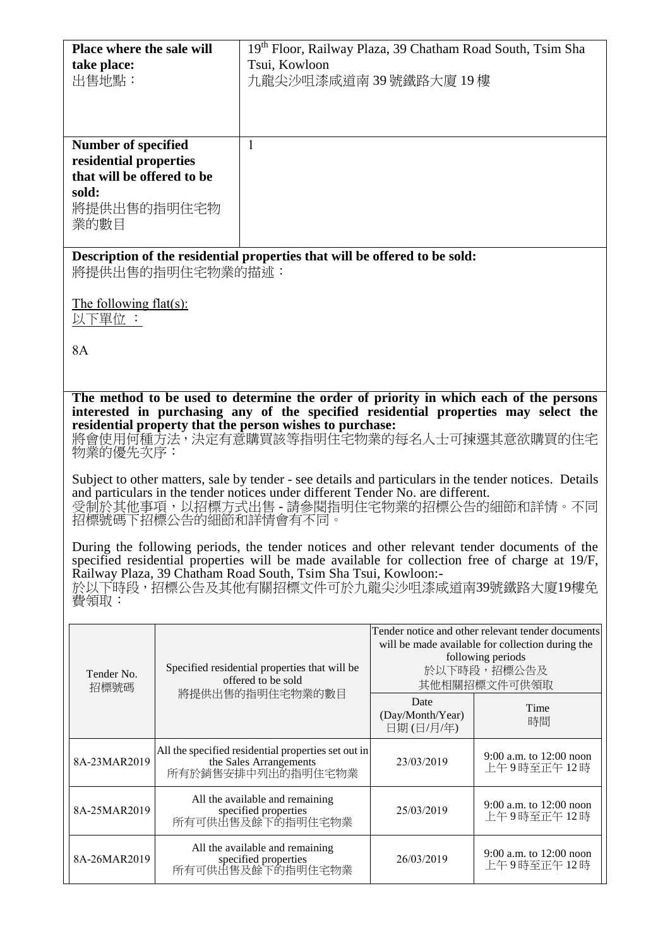| <b>Place where the sale will</b>                                                                            | 19th Floor, Railway Plaza, 39 Chatham Road South, Tsim Sha |
|-------------------------------------------------------------------------------------------------------------|------------------------------------------------------------|
| take place:                                                                                                 | Tsui, Kowloon                                              |
| 出售地點:                                                                                                       | 九龍尖沙咀漆咸道南39號鐵路大廈19樓                                        |
| Number of specified<br>residential properties<br>that will be offered to be<br>sold:<br>將提供出售的指明住宅物<br>業的數目 |                                                            |

**Description of the residential properties that will be offered to be sold:** 將提供出售的指明住宅物業的描述:

The following flat(s): 以下單位 :

8A

**The method to be used to determine the order of priority in which each of the persons interested in purchasing any of the specified residential properties may select the residential property that the person wishes to purchase:** 

將會使用何種方法,決定有意購買該等指明住宅物業的每名人士可揀選其意欲購買的住宅 物業的優先次序:

Subject to other matters, sale by tender - see details and particulars in the tender notices. Details and particulars in the tender notices under different Tender No. are different. 受制於其他事項,以招標方式出售 - 請參閱指明住宅物業的招標公告的細節和詳情。不同 招標號碼下招標公告的細節和詳情會有不同。

During the following periods, the tender notices and other relevant tender documents of the specified residential properties will be made available for collection free of charge at 19/F, Railway Plaza, 39 Chatham Road South, Tsim Sha Tsui, Kowloon:- 於以下時段,招標公告及其他有關招標文件可於九龍尖沙咀漆咸道南39號鐵路大廈19樓免 費領取:

| Tender No.<br>招標號碼 | Specified residential properties that will be<br>offered to be sold<br>將提供出售的指明住宅物業的數目             | Tender notice and other relevant tender documents<br>will be made available for collection during the<br>following periods<br>於以下時段,招標公告及<br>其他相關招標文件可供領取 |                                         |
|--------------------|----------------------------------------------------------------------------------------------------|-----------------------------------------------------------------------------------------------------------------------------------------------------------|-----------------------------------------|
|                    |                                                                                                    | Date<br>(Day/Month/Year)<br>日期(日/月/年)                                                                                                                     | Time<br>時間                              |
| 8A-23MAR2019       | All the specified residential properties set out in<br>the Sales Arrangements<br>所有於銷售安排中列出的指明住宅物業 | 23/03/2019                                                                                                                                                | 9:00 a.m. to $12:00$ noon<br>上午9時至正午12時 |
| 8A-25MAR2019       | All the available and remaining<br>specified properties<br>所有可供出售及餘下的指明住宅物業                        | 25/03/2019                                                                                                                                                | 9:00 a.m. to 12:00 noon<br>上午9時至正午12時   |
| 8A-26MAR2019       | All the available and remaining<br>specified properties<br>所有可供出售及餘下的指明住宅物業                        | 26/03/2019                                                                                                                                                | 9:00 a.m. to $12:00$ noon<br>上午9時至正午12時 |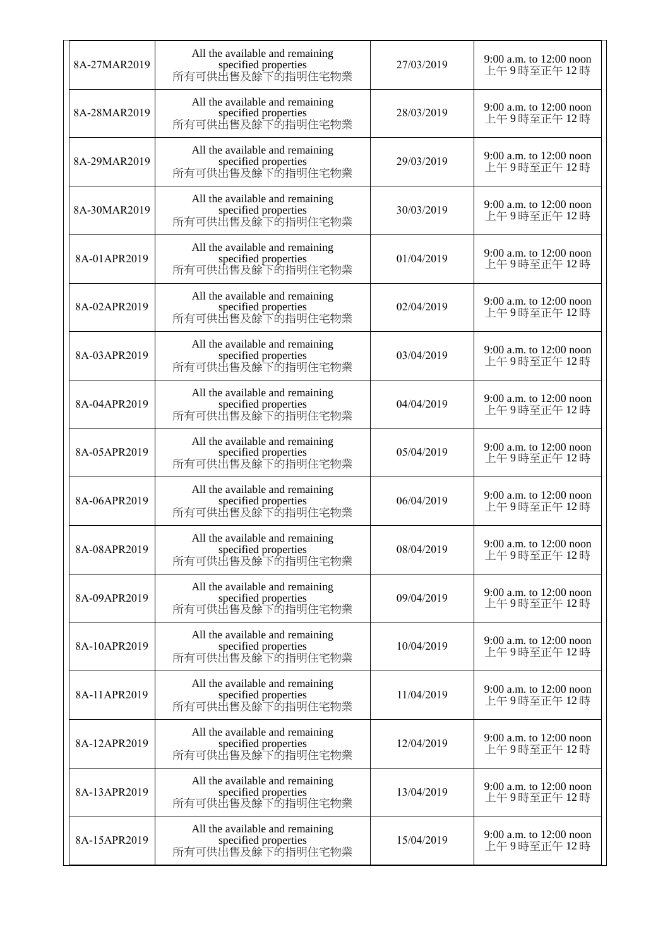| 8A-27MAR2019 | All the available and remaining<br>specified properties<br>所有可供出售及餘下的指明住宅物業 | 27/03/2019 | 9:00 a.m. to 12:00 noon<br>上午9時至正午12時   |
|--------------|-----------------------------------------------------------------------------|------------|-----------------------------------------|
| 8A-28MAR2019 | All the available and remaining<br>specified properties<br>所有可供出售及餘下的指明住宅物業 | 28/03/2019 | 9:00 a.m. to 12:00 noon<br>上午9時至正午12時   |
| 8A-29MAR2019 | All the available and remaining<br>specified properties<br>所有可供出售及餘下的指明住宅物業 | 29/03/2019 | 9:00 a.m. to 12:00 noon<br>上午9時至正午12時   |
| 8A-30MAR2019 | All the available and remaining<br>specified properties<br>所有可供出售及餘下的指明住宅物業 | 30/03/2019 | 9:00 a.m. to 12:00 noon<br>上午9時至正午12時   |
| 8A-01APR2019 | All the available and remaining<br>specified properties<br>所有可供出售及餘下的指明住宅物業 | 01/04/2019 | 9:00 a.m. to 12:00 noon<br>上午9時至正午12時   |
| 8A-02APR2019 | All the available and remaining<br>specified properties<br>所有可供出售及餘下的指明住宅物業 | 02/04/2019 | 9:00 a.m. to 12:00 noon<br>上午9時至正午12時   |
| 8A-03APR2019 | All the available and remaining<br>specified properties<br>所有可供出售及餘下的指明住宅物業 | 03/04/2019 | 9:00 a.m. to 12:00 noon<br>上午9時至正午12時   |
| 8A-04APR2019 | All the available and remaining<br>specified properties<br>所有可供出售及餘下的指明住宅物業 | 04/04/2019 | 9:00 a.m. to 12:00 noon<br>上午9時至正午12時   |
| 8A-05APR2019 | All the available and remaining<br>specified properties<br>所有可供出售及餘下的指明住宅物業 | 05/04/2019 | 9:00 a.m. to 12:00 noon<br>上午9時至正午12時   |
| 8A-06APR2019 | All the available and remaining<br>specified properties<br>所有可供出售及餘下的指明住宅物業 | 06/04/2019 | 9:00 a.m. to 12:00 noon<br>上午9時至正午12時   |
| 8A-08APR2019 | All the available and remaining<br>specified properties<br>所有可供出售及餘下的指明住宅物業 | 08/04/2019 | 9:00 a.m. to $12:00$ noon<br>上午9時至正午12時 |
| 8A-09APR2019 | All the available and remaining<br>specified properties<br>所有可供出售及餘下的指明住宅物業 | 09/04/2019 | 9:00 a.m. to 12:00 noon<br>上午9時至正午12時   |
| 8A-10APR2019 | All the available and remaining<br>specified properties<br>所有可供出售及餘下的指明住宅物業 | 10/04/2019 | 9:00 a.m. to 12:00 noon<br>上午9時至正午12時   |
| 8A-11APR2019 | All the available and remaining<br>specified properties<br>所有可供出售及餘下的指明住宅物業 | 11/04/2019 | 9:00 a.m. to 12:00 noon<br>上午9時至正午12時   |
| 8A-12APR2019 | All the available and remaining<br>specified properties<br>所有可供出售及餘下的指明住宅物業 | 12/04/2019 | 9:00 a.m. to 12:00 noon<br>上午9時至正午12時   |
| 8A-13APR2019 | All the available and remaining<br>specified properties<br>所有可供出售及餘下的指明住宅物業 | 13/04/2019 | 9:00 a.m. to 12:00 noon<br>上午9時至正午12時   |
| 8A-15APR2019 | All the available and remaining<br>specified properties<br>所有可供出售及餘下的指明住宅物業 | 15/04/2019 | 9:00 a.m. to 12:00 noon<br>上午9時至正午 12 時 |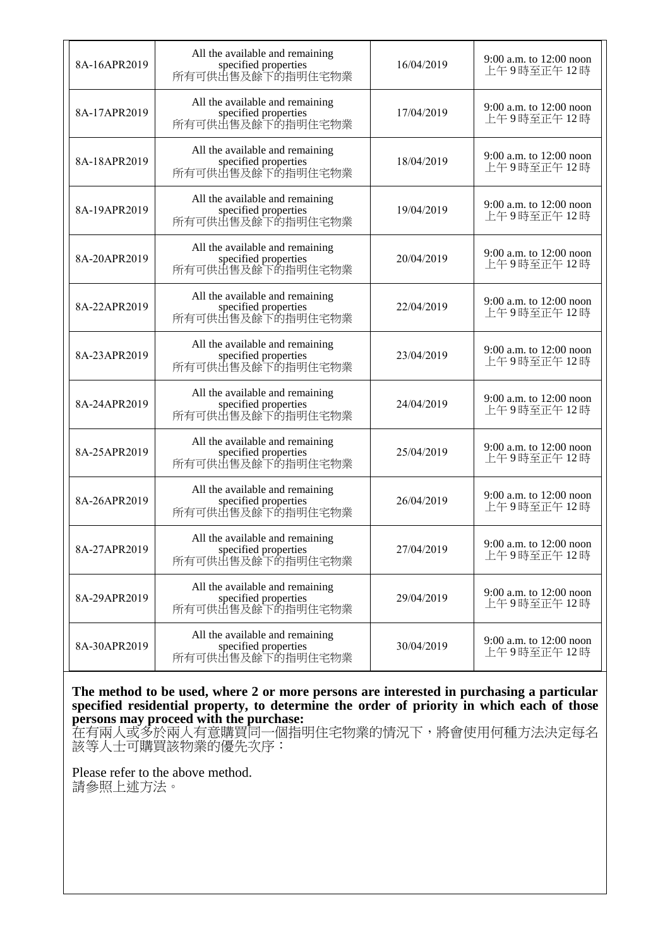| 8A-16APR2019 | All the available and remaining<br>specified properties<br>所有可供出售及餘下的指明住宅物業 | 16/04/2019 | 9:00 a.m. to 12:00 noon<br>上午9時至正午12時   |
|--------------|-----------------------------------------------------------------------------|------------|-----------------------------------------|
| 8A-17APR2019 | All the available and remaining<br>specified properties<br>所有可供出售及餘下的指明住宅物業 | 17/04/2019 | 9:00 a.m. to 12:00 noon<br>上午9時至正午12時   |
| 8A-18APR2019 | All the available and remaining<br>specified properties<br>所有可供出售及餘下的指明住宅物業 | 18/04/2019 | 9:00 a.m. to 12:00 noon<br>上午9時至正午12時   |
| 8A-19APR2019 | All the available and remaining<br>specified properties<br>所有可供出售及餘下的指明住宅物業 | 19/04/2019 | 9:00 a.m. to 12:00 noon<br>上午9時至正午12時   |
| 8A-20APR2019 | All the available and remaining<br>specified properties<br>所有可供出售及餘下的指明住宅物業 | 20/04/2019 | 9:00 a.m. to 12:00 noon<br>上午9時至正午12時   |
| 8A-22APR2019 | All the available and remaining<br>specified properties<br>所有可供出售及餘下的指明住宅物業 | 22/04/2019 | 9:00 a.m. to 12:00 noon<br>上午9時至正午12時   |
| 8A-23APR2019 | All the available and remaining<br>specified properties<br>所有可供出售及餘下的指明住宅物業 | 23/04/2019 | 9:00 a.m. to 12:00 noon<br>上午9時至正午12時   |
| 8A-24APR2019 | All the available and remaining<br>specified properties<br>所有可供出售及餘下的指明住宅物業 | 24/04/2019 | 9:00 a.m. to 12:00 noon<br>上午9時至正午12時   |
| 8A-25APR2019 | All the available and remaining<br>specified properties<br>所有可供出售及餘下的指明住宅物業 | 25/04/2019 | $9:00$ a.m. to 12:00 noon<br>上午9時至正午12時 |
| 8A-26APR2019 | All the available and remaining<br>specified properties<br>所有可供出售及餘下的指明住宅物業 | 26/04/2019 | 9:00 a.m. to 12:00 noon<br>上午9時至正午12時   |
| 8A-27APR2019 | All the available and remaining<br>specified properties<br>所有可供出售及餘下的指明住宅物業 | 27/04/2019 | 9:00 a.m. to 12:00 noon<br>上午9時至正午12時   |
| 8A-29APR2019 | All the available and remaining<br>specified properties<br>所有可供出售及餘下的指明住宅物業 | 29/04/2019 | 9:00 a.m. to 12:00 noon<br>上午9時至正午12時   |
| 8A-30APR2019 | All the available and remaining<br>specified properties<br>所有可供出售及餘下的指明住宅物業 | 30/04/2019 | 9:00 a.m. to 12:00 noon<br>上午9時至正午12時   |

**The method to be used, where 2 or more persons are interested in purchasing a particular specified residential property, to determine the order of priority in which each of those persons may proceed with the purchase:**

在有兩人或多於兩人有意購買同一個指明住宅物業的情況下,將會使用何種方法決定每名 該等人士可購買該物業的優先次序:

Please refer to the above method. 請參照上述方法。